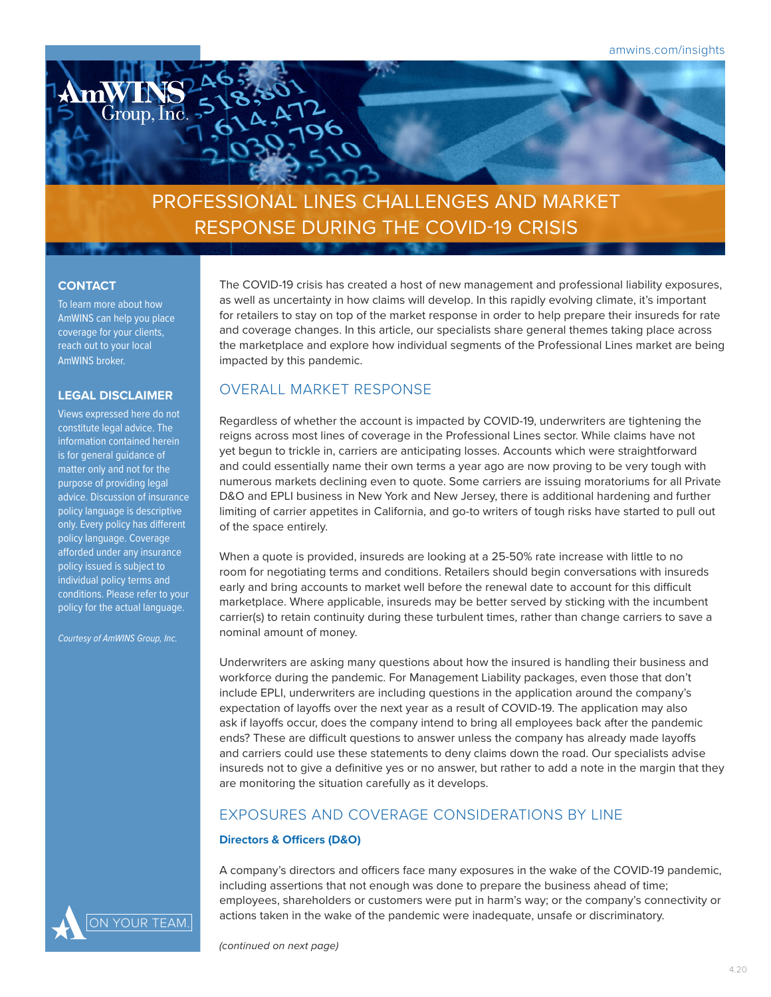

RESPONSE DURING THE COVID-19 CRISIS

### **CONTACT**

To learn more about how AmWINS can help you place coverage for your clients, reach out to your local AmWINS broker.

#### **LEGAL DISCLAIMER**

Views expressed here do not constitute legal advice. The information contained herein is for general guidance of matter only and not for the purpose of providing legal advice. Discussion of insurance policy language is descriptive only. Every policy has different policy language. Coverage afforded under any insurance policy issued is subject to individual policy terms and conditions. Please refer to your policy for the actual language.

*Courtesy of AmWINS Group, Inc.*

The COVID-19 crisis has created a host of new management and professional liability exposures, as well as uncertainty in how claims will develop. In this rapidly evolving climate, it's important for retailers to stay on top of the market response in order to help prepare their insureds for rate and coverage changes. In this article, our specialists share general themes taking place across the marketplace and explore how individual segments of the Professional Lines market are being impacted by this pandemic.

### OVERALL MARKET RESPONSE

Regardless of whether the account is impacted by COVID-19, underwriters are tightening the reigns across most lines of coverage in the Professional Lines sector. While claims have not yet begun to trickle in, carriers are anticipating losses. Accounts which were straightforward and could essentially name their own terms a year ago are now proving to be very tough with numerous markets declining even to quote. Some carriers are issuing moratoriums for all Private D&O and EPLI business in New York and New Jersey, there is additional hardening and further limiting of carrier appetites in California, and go-to writers of tough risks have started to pull out of the space entirely.

When a quote is provided, insureds are looking at a 25-50% rate increase with little to no room for negotiating terms and conditions. Retailers should begin conversations with insureds early and bring accounts to market well before the renewal date to account for this difficult marketplace. Where applicable, insureds may be better served by sticking with the incumbent carrier(s) to retain continuity during these turbulent times, rather than change carriers to save a nominal amount of money.

Underwriters are asking many questions about how the insured is handling their business and workforce during the pandemic. For Management Liability packages, even those that don't include EPLI, underwriters are including questions in the application around the company's expectation of layoffs over the next year as a result of COVID-19. The application may also ask if layoffs occur, does the company intend to bring all employees back after the pandemic ends? These are difficult questions to answer unless the company has already made layoffs and carriers could use these statements to deny claims down the road. Our specialists advise insureds not to give a definitive yes or no answer, but rather to add a note in the margin that they are monitoring the situation carefully as it develops.

### EXPOSURES AND COVERAGE CONSIDERATIONS BY LINE

#### **Directors & Officers (D&O)**

A company's directors and officers face many exposures in the wake of the COVID-19 pandemic, including assertions that not enough was done to prepare the business ahead of time; employees, shareholders or customers were put in harm's way; or the company's connectivity or actions taken in the wake of the pandemic were inadequate, unsafe or discriminatory.

*(continued on next page)*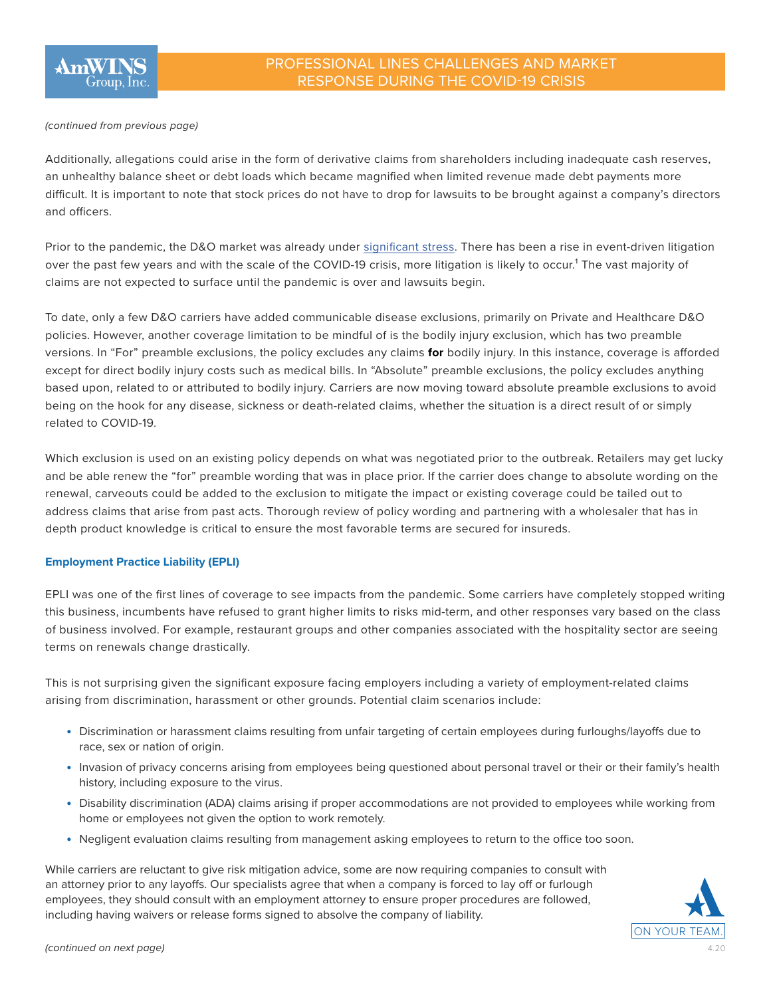#### *(continued from previous page)*

Additionally, allegations could arise in the form of derivative claims from shareholders including inadequate cash reserves, an unhealthy balance sheet or debt loads which became magnified when limited revenue made debt payments more difficult. It is important to note that stock prices do not have to drop for lawsuits to be brought against a company's directors and officers.

Prior to the pandemic, the D&O market was already under [significant stress](https://www.amwins.com/insights/article/state-of-the-market-professional-lines). There has been a rise in event-driven litigation over the past few years and with the scale of the COVID-19 crisis, more litigation is likely to occur.<sup>1</sup> The vast majority of claims are not expected to surface until the pandemic is over and lawsuits begin.

To date, only a few D&O carriers have added communicable disease exclusions, primarily on Private and Healthcare D&O policies. However, another coverage limitation to be mindful of is the bodily injury exclusion, which has two preamble versions. In "For" preamble exclusions, the policy excludes any claims **for** bodily injury. In this instance, coverage is afforded except for direct bodily injury costs such as medical bills. In "Absolute" preamble exclusions, the policy excludes anything based upon, related to or attributed to bodily injury. Carriers are now moving toward absolute preamble exclusions to avoid being on the hook for any disease, sickness or death-related claims, whether the situation is a direct result of or simply related to COVID-19.

Which exclusion is used on an existing policy depends on what was negotiated prior to the outbreak. Retailers may get lucky and be able renew the "for" preamble wording that was in place prior. If the carrier does change to absolute wording on the renewal, carveouts could be added to the exclusion to mitigate the impact or existing coverage could be tailed out to address claims that arise from past acts. Thorough review of policy wording and partnering with a wholesaler that has in depth product knowledge is critical to ensure the most favorable terms are secured for insureds.

#### **Employment Practice Liability (EPLI)**

EPLI was one of the first lines of coverage to see impacts from the pandemic. Some carriers have completely stopped writing this business, incumbents have refused to grant higher limits to risks mid-term, and other responses vary based on the class of business involved. For example, restaurant groups and other companies associated with the hospitality sector are seeing terms on renewals change drastically.

This is not surprising given the significant exposure facing employers including a variety of employment-related claims arising from discrimination, harassment or other grounds. Potential claim scenarios include:

- Discrimination or harassment claims resulting from unfair targeting of certain employees during furloughs/layoffs due to race, sex or nation of origin.
- Invasion of privacy concerns arising from employees being questioned about personal travel or their or their family's health history, including exposure to the virus.
- Disability discrimination (ADA) claims arising if proper accommodations are not provided to employees while working from home or employees not given the option to work remotely.
- Negligent evaluation claims resulting from management asking employees to return to the office too soon.

While carriers are reluctant to give risk mitigation advice, some are now requiring companies to consult with an attorney prior to any layoffs. Our specialists agree that when a company is forced to lay off or furlough employees, they should consult with an employment attorney to ensure proper procedures are followed, including having waivers or release forms signed to absolve the company of liability.

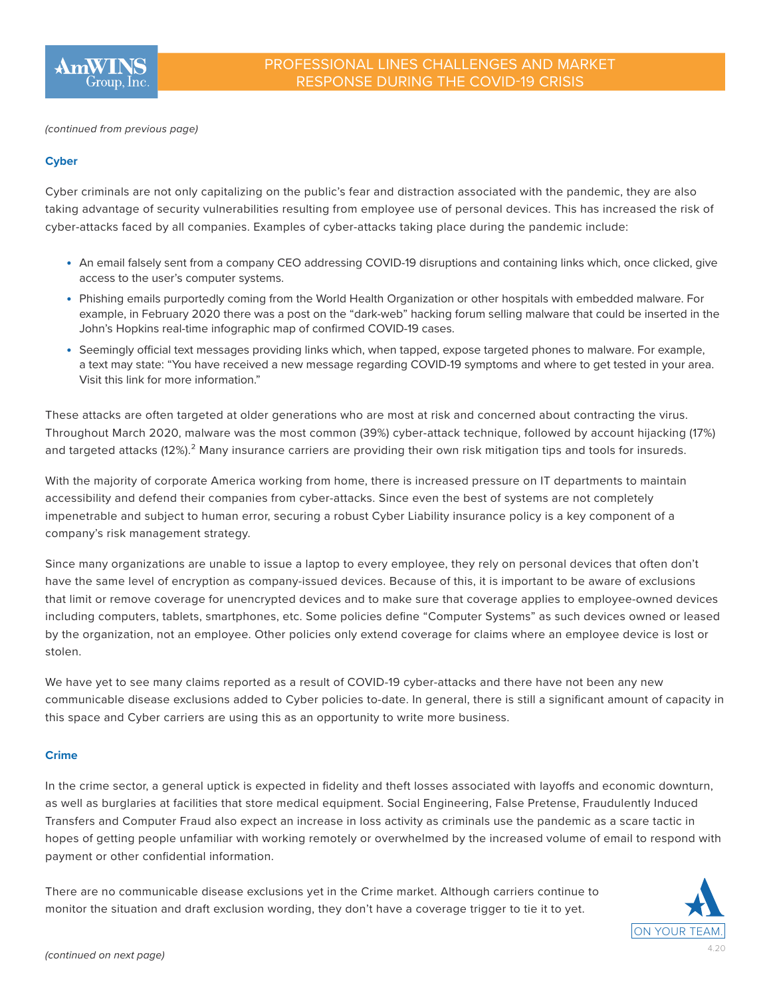

*(continued from previous page)*

### **Cyber**

Cyber criminals are not only capitalizing on the public's fear and distraction associated with the pandemic, they are also taking advantage of security vulnerabilities resulting from employee use of personal devices. This has increased the risk of cyber-attacks faced by all companies. Examples of cyber-attacks taking place during the pandemic include:

- An email falsely sent from a company CEO addressing COVID-19 disruptions and containing links which, once clicked, give access to the user's computer systems.
- Phishing emails purportedly coming from the World Health Organization or other hospitals with embedded malware. For example, in February 2020 there was a post on the "dark-web" hacking forum selling malware that could be inserted in the John's Hopkins real-time infographic map of confirmed COVID-19 cases.
- Seemingly official text messages providing links which, when tapped, expose targeted phones to malware. For example, a text may state: "You have received a new message regarding COVID-19 symptoms and where to get tested in your area. Visit this link for more information."

These attacks are often targeted at older generations who are most at risk and concerned about contracting the virus. Throughout March 2020, malware was the most common (39%) cyber-attack technique, followed by account hijacking (17%) and targeted attacks (12%).<sup>2</sup> Many insurance carriers are providing their own risk mitigation tips and tools for insureds.

With the majority of corporate America working from home, there is increased pressure on IT departments to maintain accessibility and defend their companies from cyber-attacks. Since even the best of systems are not completely impenetrable and subject to human error, securing a robust Cyber Liability insurance policy is a key component of a company's risk management strategy.

Since many organizations are unable to issue a laptop to every employee, they rely on personal devices that often don't have the same level of encryption as company-issued devices. Because of this, it is important to be aware of exclusions that limit or remove coverage for unencrypted devices and to make sure that coverage applies to employee-owned devices including computers, tablets, smartphones, etc. Some policies define "Computer Systems" as such devices owned or leased by the organization, not an employee. Other policies only extend coverage for claims where an employee device is lost or stolen.

We have yet to see many claims reported as a result of COVID-19 cyber-attacks and there have not been any new communicable disease exclusions added to Cyber policies to-date. In general, there is still a significant amount of capacity in this space and Cyber carriers are using this as an opportunity to write more business.

#### **Crime**

In the crime sector, a general uptick is expected in fidelity and theft losses associated with layoffs and economic downturn, as well as burglaries at facilities that store medical equipment. Social Engineering, False Pretense, Fraudulently Induced Transfers and Computer Fraud also expect an increase in loss activity as criminals use the pandemic as a scare tactic in hopes of getting people unfamiliar with working remotely or overwhelmed by the increased volume of email to respond with payment or other confidential information.

There are no communicable disease exclusions yet in the Crime market. Although carriers continue to monitor the situation and draft exclusion wording, they don't have a coverage trigger to tie it to yet.